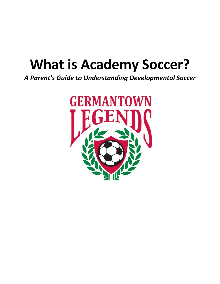# **What is Academy Soccer?**

*A Parent's Guide to Understanding Developmental Soccer*

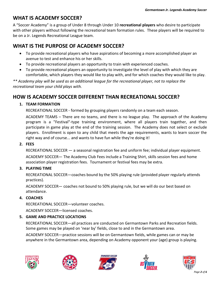# **WHAT IS ACADEMY SOCCER?**

A "Soccer Academy" is a group of Under 8 through Under 10 **recreational players** who desire to participate with other players without following the recreational team formation rules. These players will be required to be on a Jr. Legends Recreational League team.

# **WHAT IS THE PURPOSE OF ACADEMY SOCCER?**

- To provide recreational players who have aspirations of becoming a more accomplished player an avenue to test and enhance his or her skills.
- To provide recreational players an opportunity to train with experienced coaches.
- To provide recreational players an opportunity to investigate the level of play with which they are comfortable, which players they would like to play with, and for which coaches they would like to play.

*\*\* Academy play will be used as an additional league for the recreational player, not to replace the recreational team your child plays with.*

# **HOW IS ACADEMY SOCCER DIFFERENT THAN RECREATIONAL SOCCER?**

#### **1. TEAM FORMATION**

RECREATIONAL SOCCER - formed by grouping players randomly on a team each season.

ACADEMY TEAMS – There are no teams, and there is no league play. The approach of the Academy program is a "Festival"-type training environment, where all players train together, and then participate in game play at the end of the training session. The Academy does not select or exclude players. Enrollment is open to any child that meets the age requirements, wants to learn soccer the right way and of course... and wants to have fun while they're doing it!

#### **2. FEES**

RECREATIONAL SOCCER — a seasonal registration fee and uniform fee; individual player equipment. ACADEMY SOCCER— The Academy Club Fees include a Training Shirt, skills session fees and home association player registration fees. Tournament or festival fees may be extra.

### **3. PLAYING TIME**

RECREATIONAL SOCCER—coaches bound by the 50% playing rule (provided player regularly attends practices).

ACADEMY SOCCER— coaches not bound to 50% playing rule, but we will do our best based on attendance.

### **4. COACHES**

RECREATIONAL SOCCER—volunteer coaches.

ACADEMY SOCCER—licensed coaches.

### **5. GAME AND PRACTICE LOCATIONS**

RECREATIONAL SOCCER—all practices are conducted on Germantown Parks and Recreation fields. Some games may be played on 'near by' fields, close to and in the Germantown area.

ACADEMY SOCCER—practice sessions will be on Germantown fields, while games can or may be anywhere in the Germantown area, depending on Academy opponent your (age) group is playing.









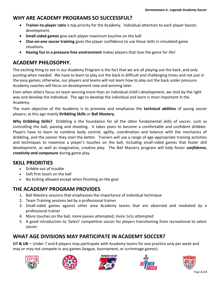# **WHY ARE ACADEMY PROGRAMS SO SUCCESSFUL?**

- **Trainer-to-player ratio** is top priority for the Academy. Individual attention to each player boosts development.
- **Small-sided games** give each player maximum touches on the ball
- **One-on-one soccer training** gives the player confidence to use these skills in simulated game situations.
- **Having fun in a pressure-free environment** makes players that love the game for life!

# **ACADEMY PHILOSOPHY.**

The exciting thing to see in our Academy Program is the fact that we are all playing out the back, and only punting when needed. We have to learn to play out the back in difficult and challenging times and not just in the easy games; otherwise, our players and teams will not learn how to play out the back under pressure. Academy coaches will focus on development now and winning later.

Even when others focus on team winning more than an individual child's development, we stick by the right way and develop the individual. The age to develop the individual and learn is most important in the Academy.

The main objective of the Academy is to promote and emphasize the **technical abilities** of young soccer players; at this age mainly **Dribbling Skills** or **Ball Mastery**.

**Why Dribbling Skills?** Dribbling is the foundation for all the other fundamental skills of soccer, such as controlling the ball, passing and shooting. It takes years to become a comfortable and confident dribbler. Players have to learn to combine body control, agility, coordination and balance with the mechanics of dribbling, and the sooner they start the better. Trainers will use a range of age-appropriate training activities and techniques to maximize a player's touches on the ball, including small-sided games that foster skill development, as well as imaginative, creative play. The Ball Mastery program will help foster *confidence, creativity and composure* during game play.

# **SKILL PRIORITIES**

- Dribble out of trouble
- Soft first touch on the ball
- No kicking allowed except when finishing on the goal

# **THE ACADEMY PROGRAM PROVIDES**

- 1. Ball Mastery sessions that emphasizes the importance of individual technique
- 2. Team Training sessions led by a professional trainer
- 3. Small-sided games against other area Academy teams that are observed and mediated by a professional trainer
- 4. More touches on the ball, more passes attempted, more 1v1s attempted
- 5. A good introduction to 'Select' competitive soccer for players transitioning from recreational to select soccer.

# **WHAT AGE DIVISIONS MAY PARTICIPATE IN ACADEMY SOCCER?**

**U7 & U8**— Under 7 and 8 players may participate with Academy teams for one practice only per week and may or may not compete in any games (league, tournament, or scrimmage games).









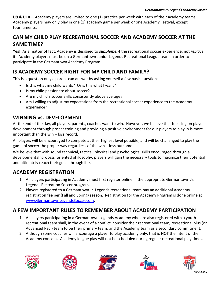**U9 & U10**— Academy players are limited to one (1) practice per week with each of their academy teams. Academy players may only play in one (1) academy game per week or one Academy Festival, except tournaments.

# **CAN MY CHILD PLAY RECREATIONAL SOCCER AND ACADEMY SOCCER AT THE SAME TIME?**

**Yes!** As a matter of fact, Academy is designed to *supplement* the recreational soccer experience, not *replace*  it. Academy players must be on a Germantown Junior Legends Recreational League team in order to participate in the Germantown Academy Program.

# **IS ACADEMY SOCCER RIGHT FOR MY CHILD AND FAMILY?**

This is a question only a parent can answer by asking yourself a few basic questions:

- Is this what my child wants? Or is this what I want?
- Is my child passionate about soccer?
- Are my child's soccer skills consistently above average?
- Am I willing to adjust my expectations from the recreational soccer experience to the Academy experience?

# **WINNING vs. DEVELOPMENT**

At the end of the day, all players, parents, coaches want to win. However, we believe that focusing on player development through proper training and providing a positive environment for our players to play in is more important than the win – loss record.

All players will be encouraged to compete at their highest level possible, and will be challenged to play the game of soccer the proper way regardless of the win – loss outcome.

We believe that with sound technical, tactical, physical and psychological skills encouraged through a developmental 'process' oriented philosophy, players will gain the necessary tools to maximize their potential and ultimately reach their goals through life.

# **ACADEMY REGISTRATION**

- 1. All players participating in Academy must first register online in the appropriate Germantown Jr. Legends Recreation Soccer program.
- 2. Players registered to a Germantown Jr. Legends recreational team pay an additional Academy registration fee per (Fall and Spring) season. Registration for the Academy Program is done online at [www.GermantownLegendsSoccer.com.](http://www.germantownlegendssoccer.com/)

# **A FEW IMPORTANT RULES TO REMEMBER ABOUT ACADEMY PARTICIPATION**

- 1. All players participating in a Germantown Legends Academy who are also registered with a youth recreational team shall, in the event of a conflict, consider their recreational team, recreational plus (or Advanced Rec.) team to be their primary team, and the Academy team as a secondary commitment.
- 2. Although some coaches will encourage a player to play academy only, that is NOT the intent of the Academy concept. Academy league play will not be scheduled during regular recreational play times.









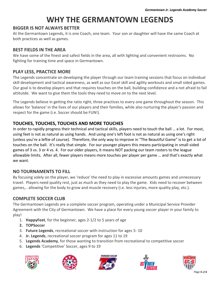# **WHY THE GERMANTOWN LEGENDS**

#### **BIGGER IS NOT ALWAYS BETTER**

At the Germantown Legends, it is one Coach, one team. Your son or daughter will have the same Coach at both practices as well as games.

#### **BEST FIELDS IN THE AREA**

We have some of the finest and safest fields in the area, all with lighting and convenient restrooms. No fighting for training time and space in Germantown.

#### **PLAY LESS, PRACTICE MORE**

The Legends concentrate on developing the player through our team training sessions that focus on individual skill development and tactical awareness, as well as our Excel skill and agility workouts and small sided games. Our goal is to develop players and that requires touches on the ball, building confidence and a not afraid to fail attitutde. We want to give them the tools they need to move on to the next level.

The Legends believe in getting the ratio right, three practices to every one game throughout the season. This allows for 'balance' in the lives of our players and their families, while also nurturing the player's passion and respect for the game (i.e. Soccer should be FUN!).

#### **TOUCHES, TOUCHES, TOUCHES AND MORE TOUCHES**

In order to rapidly progress their technical and tactical skills, players need to touch the ball … a lot. For most, using feet is not as natural as using hands. And using one's left foot is not as natural as using one's right (unless you're a leftie of course). Therefore, the only way to improve in "The Beautiful Game" is to get a lot of touches on the ball. It's really that simple. For our younger players this means participating in small-sided games of 3 vs. 3 or 4 vs. 4. For our older players, it means NOT packing our team rosters to the league allowable limits. After all, fewer players means more touches per player per game … and that's exactly what we want.

#### **NO TOURNAMENTS TO FILL**

By focusing solely on the player, we 'reduce' the need to play in excessive amounts games and unnecessary travel. Players need quality rest, just as much as they need to play the game. Kids need to recover between games,.. allowing for the body to grow and muscle recovery (i.e. less injuries, more quality play, etc.).

#### **COMPLETE SOCCER CLUB**

The Germantown Legends are a complete soccer program, operating under a Municipal Service Provider Agreement with the City of Germantown. We have a place for every young soccer player in your family to play!

- 1. **HappyFeet**, for the beginner, ages 2-1/2 to 5 years of age
- **2. TOPSoccer**
- 3. **Future Legends**, recreational soccer with instruction for ages 5- 10
- 4. **Jr. Legends**, recreational soccer program for ages 11 to 19
- 5. **Legends Academy**, for those wanting to transition from recreational to competitive soccer
- 6. **Legends** 'Competitive' Soccer, ages 9 to 19